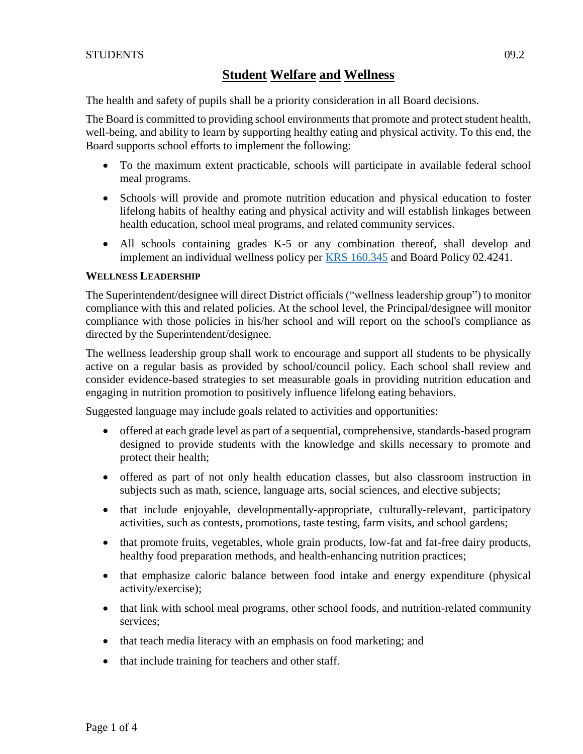The health and safety of pupils shall be a priority consideration in all Board decisions.

The Board is committed to providing school environments that promote and protect student health, well-being, and ability to learn by supporting healthy eating and physical activity. To this end, the Board supports school efforts to implement the following:

- To the maximum extent practicable, schools will participate in available federal school meal programs.
- Schools will provide and promote nutrition education and physical education to foster lifelong habits of healthy eating and physical activity and will establish linkages between health education, school meal programs, and related community services.
- All schools containing grades K-5 or any combination thereof, shall develop and implement an individual wellness policy per [KRS 160.345](http://policy.ksba.org/DocumentManager.aspx?requestarticle=/KRS/160-00/345.pdf&requesttype=krs) and Board Policy 02.4241.

### **WELLNESS LEADERSHIP**

The Superintendent/designee will direct District officials ("wellness leadership group") to monitor compliance with this and related policies. At the school level, the Principal/designee will monitor compliance with those policies in his/her school and will report on the school's compliance as directed by the Superintendent/designee.

The wellness leadership group shall work to encourage and support all students to be physically active on a regular basis as provided by school/council policy. Each school shall review and consider evidence-based strategies to set measurable goals in providing nutrition education and engaging in nutrition promotion to positively influence lifelong eating behaviors.

Suggested language may include goals related to activities and opportunities:

- offered at each grade level as part of a sequential, comprehensive, standards-based program designed to provide students with the knowledge and skills necessary to promote and protect their health;
- offered as part of not only health education classes, but also classroom instruction in subjects such as math, science, language arts, social sciences, and elective subjects;
- that include enjoyable, developmentally-appropriate, culturally-relevant, participatory activities, such as contests, promotions, taste testing, farm visits, and school gardens;
- that promote fruits, vegetables, whole grain products, low-fat and fat-free dairy products, healthy food preparation methods, and health-enhancing nutrition practices;
- that emphasize caloric balance between food intake and energy expenditure (physical activity/exercise);
- that link with school meal programs, other school foods, and nutrition-related community services;
- that teach media literacy with an emphasis on food marketing; and
- that include training for teachers and other staff.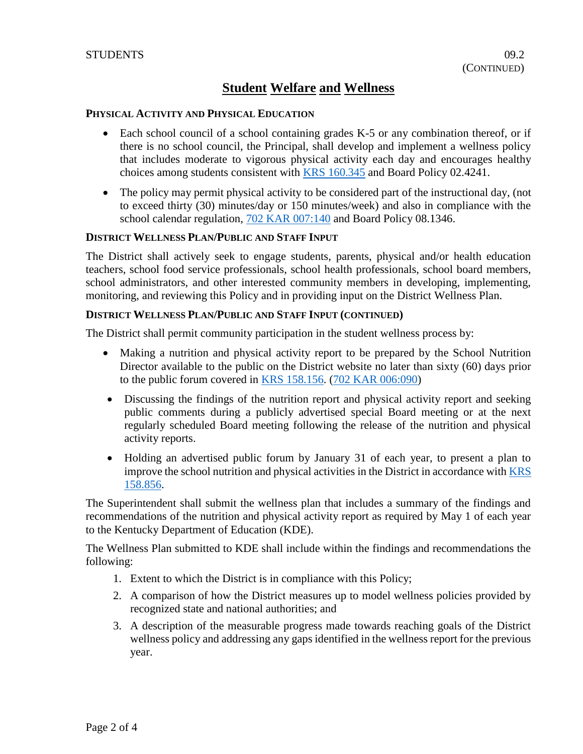#### **PHYSICAL ACTIVITY AND PHYSICAL EDUCATION**

- Each school council of a school containing grades K-5 or any combination thereof, or if there is no school council, the Principal, shall develop and implement a wellness policy that includes moderate to vigorous physical activity each day and encourages healthy choices among students consistent with **KRS** 160.345 and Board Policy 02.4241.
- The policy may permit physical activity to be considered part of the instructional day, (not to exceed thirty (30) minutes/day or 150 minutes/week) and also in compliance with the school calendar regulation, [702 KAR 007:140](http://policy.ksba.org/documentmanager.aspx?requestarticle=/kar/702/007/140.htm&requesttype=kar) and Board Policy 08.1346.

#### **DISTRICT WELLNESS PLAN/PUBLIC AND STAFF INPUT**

The District shall actively seek to engage students, parents, physical and/or health education teachers, school food service professionals, school health professionals, school board members, school administrators, and other interested community members in developing, implementing, monitoring, and reviewing this Policy and in providing input on the District Wellness Plan.

#### **DISTRICT WELLNESS PLAN/PUBLIC AND STAFF INPUT (CONTINUED)**

The District shall permit community participation in the student wellness process by:

- Making a nutrition and physical activity report to be prepared by the School Nutrition Director available to the public on the District website no later than sixty (60) days prior to the public forum covered in [KRS 158.156.](http://policy.ksba.org/DocumentManager.aspx?requestarticle=/KRS/158-00/156.pdf&requesttype=krs) [\(702 KAR 006:090\)](http://policy.ksba.org/documentmanager.aspx?requestarticle=/kar/702/006/090.htm&requesttype=kar)
- Discussing the findings of the nutrition report and physical activity report and seeking public comments during a publicly advertised special Board meeting or at the next regularly scheduled Board meeting following the release of the nutrition and physical activity reports.
- Holding an advertised public forum by January 31 of each year, to present a plan to improve the school nutrition and physical activities in the District in accordance wit[h KRS](http://policy.ksba.org/DocumentManager.aspx?requestarticle=/KRS/158-00/856.pdf&requesttype=krs)  [158.856.](http://policy.ksba.org/DocumentManager.aspx?requestarticle=/KRS/158-00/856.pdf&requesttype=krs)

The Superintendent shall submit the wellness plan that includes a summary of the findings and recommendations of the nutrition and physical activity report as required by May 1 of each year to the Kentucky Department of Education (KDE).

The Wellness Plan submitted to KDE shall include within the findings and recommendations the following:

- 1. Extent to which the District is in compliance with this Policy;
- 2. A comparison of how the District measures up to model wellness policies provided by recognized state and national authorities; and
- 3. A description of the measurable progress made towards reaching goals of the District wellness policy and addressing any gaps identified in the wellness report for the previous year.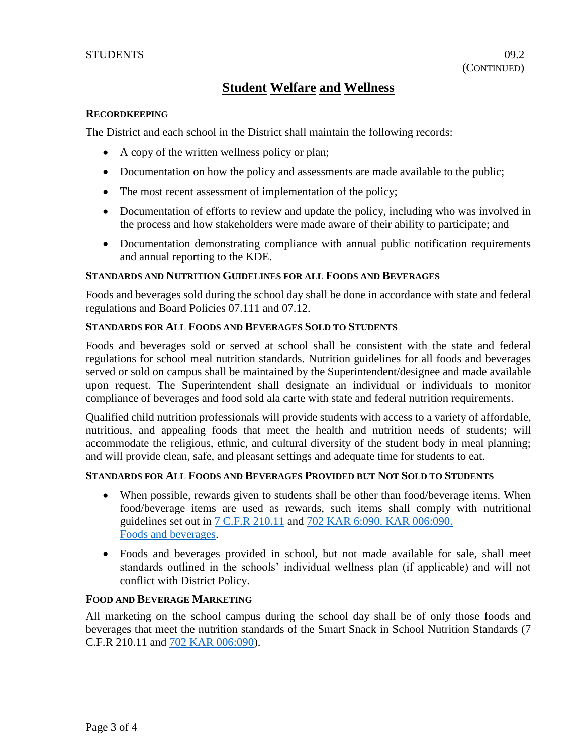#### **RECORDKEEPING**

The District and each school in the District shall maintain the following records:

- A copy of the written wellness policy or plan;
- Documentation on how the policy and assessments are made available to the public;
- The most recent assessment of implementation of the policy;
- Documentation of efforts to review and update the policy, including who was involved in the process and how stakeholders were made aware of their ability to participate; and
- Documentation demonstrating compliance with annual public notification requirements and annual reporting to the KDE.

#### **STANDARDS AND NUTRITION GUIDELINES FOR ALL FOODS AND BEVERAGES**

Foods and beverages sold during the school day shall be done in accordance with state and federal regulations and Board Policies 07.111 and 07.12.

#### **STANDARDS FOR ALL FOODS AND BEVERAGES SOLD TO STUDENTS**

Foods and beverages sold or served at school shall be consistent with the state and federal regulations for school meal nutrition standards. Nutrition guidelines for all foods and beverages served or sold on campus shall be maintained by the Superintendent/designee and made available upon request. The Superintendent shall designate an individual or individuals to monitor compliance of beverages and food sold ala carte with state and federal nutrition requirements.

Qualified child nutrition professionals will provide students with access to a variety of affordable, nutritious, and appealing foods that meet the health and nutrition needs of students; will accommodate the religious, ethnic, and cultural diversity of the student body in meal planning; and will provide clean, safe, and pleasant settings and adequate time for students to eat.

#### **STANDARDS FOR ALL FOODS AND BEVERAGES PROVIDED BUT NOT SOLD TO STUDENTS**

- When possible, rewards given to students shall be other than food/beverage items. When food/beverage items are used as rewards, such items shall comply with nutritional guidelines set out in [7 C.F.R 210.11](https://www.fns.usda.gov/sites/default/files/7cfr210_09.pdf) and [702 KAR 6:090. KAR 006:090.](http://policy.ksba.org/documentmanager.aspx?requestarticle=/kar/702%20KAR%206:090./006/090.%0dFoods%20and%20beverages.htm&requesttype=kar) [Foods and beverages.](http://policy.ksba.org/documentmanager.aspx?requestarticle=/kar/702%20KAR%206:090./006/090.%0dFoods%20and%20beverages.htm&requesttype=kar)
- Foods and beverages provided in school, but not made available for sale, shall meet standards outlined in the schools' individual wellness plan (if applicable) and will not conflict with District Policy.

#### **FOOD AND BEVERAGE MARKETING**

All marketing on the school campus during the school day shall be of only those foods and beverages that meet the nutrition standards of the Smart Snack in School Nutrition Standards (7 C.F.R 210.11 and [702 KAR 006:090\)](http://policy.ksba.org/documentmanager.aspx?requestarticle=/kar/702/006/090.htm&requesttype=kar).